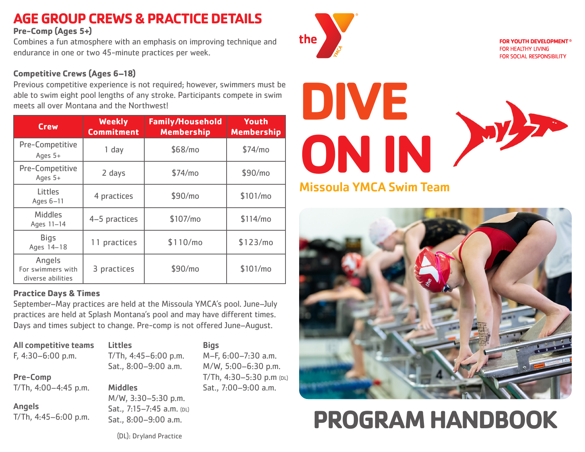### **AGE GROUP CREWS & PRACTICE DETAILS**

**Pre-Comp (Ages 5+)**

Combines a fun atmosphere with an emphasis on improving technique and endurance in one or two 45-minute practices per week.

#### **Competitive Crews (Ages 6–18)**

Previous competitive experience is not required; however, swimmers must be able to swim eight pool lengths of any stroke. Participants compete in swim meets all over Montana and the Northwest!

| <b>Crew</b>                                      | <b>Weekly</b><br><b>Commitment</b> | <b>Family/Household</b><br><b>Membership</b> | Youth<br><b>Membership</b> |
|--------------------------------------------------|------------------------------------|----------------------------------------------|----------------------------|
| Pre-Competitive<br>Ages 5+                       | $1$ day                            | \$68/mo                                      | \$74/mo                    |
| Pre-Competitive<br>Ages 5+                       | 2 days                             | \$74/mo                                      | \$90/mo                    |
| Littles<br>Ages 6-11                             | 4 practices                        | \$90/mo                                      | \$101/mol                  |
| <b>Middles</b><br>Ages 11-14                     | 4-5 practices                      | \$107/mo                                     | \$114/mo                   |
| <b>Bigs</b><br>Ages 14-18                        | 11 practices                       | \$110/mol                                    | \$123/mol                  |
| Angels<br>For swimmers with<br>diverse abilities | 3 practices                        | \$90/mo                                      | \$101/mol                  |

#### **Practice Days & Times**

September–May practices are held at the Missoula YMCA's pool. June–July practices are held at Splash Montana's pool and may have different times. Days and times subject to change. Pre-comp is not offered June–August.

**Bigs** 

M–F, 6:00–7:30 a.m. M/W, 5:00–6:30 p.m. T/Th, 4:30–5:30 p.m (DL) Sat., 7:00–9:00 a.m.

| <b>All competitive teams</b><br>$F, 4:30-6:00 p.m.$ | <b>Littles</b><br>T/Th, $4:45-6:00$ p.m.<br>Sat., 8:00-9:00 a.m.         |
|-----------------------------------------------------|--------------------------------------------------------------------------|
| <b>Pre-Comp</b>                                     |                                                                          |
| T/Th, 4:00-4:45 p.m.                                | <b>Middles</b>                                                           |
| <b>Angels</b><br>T/Th, $4:45-6:00$ p.m.             | M/W, 3:30-5:30 p.m.<br>Sat., 7:15-7:45 a.m. (DL)<br>Sat., 8:00-9:00 a.m. |



**FOR YOUTH DEVELOPMENT® FOR HEALTHY LIVING** FOR SOCIAL RESPONSIBILITY





# **PROGRAM HANDBOOK**

(DL): Dryland Practice